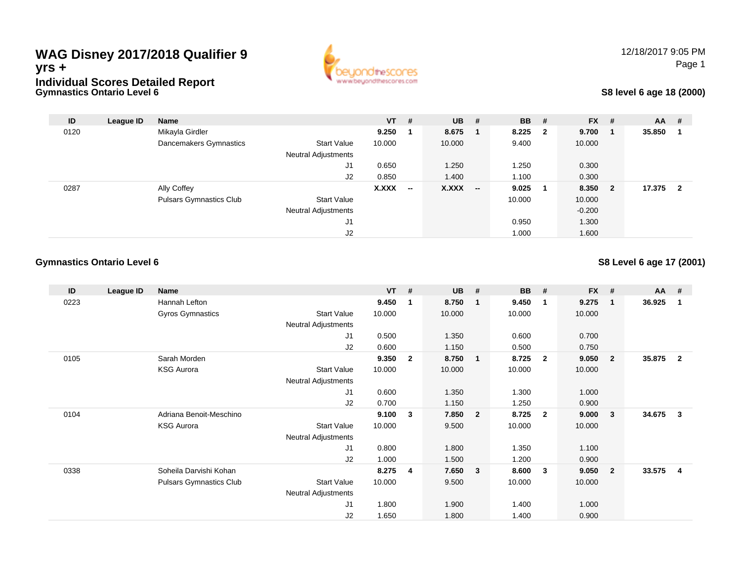## **Gymnastics Ontario Level 6WAG Disney 2017/2018 Qualifier 9yrs +Individual Scores Detailed Report**



## **S8 level 6 age 18 (2000)**

| ID   | League ID | <b>Name</b>                    |                            | $VT$ # |                          | $UB$ # |                          | <b>BB</b> | #                       | <b>FX</b> | #                       | $AA$ # |                |
|------|-----------|--------------------------------|----------------------------|--------|--------------------------|--------|--------------------------|-----------|-------------------------|-----------|-------------------------|--------|----------------|
| 0120 |           | Mikayla Girdler                |                            | 9.250  |                          | 8.675  |                          | 8.225     | $\overline{\mathbf{2}}$ | 9.700     |                         | 35.850 |                |
|      |           | Dancemakers Gymnastics         | <b>Start Value</b>         | 10.000 |                          | 10.000 |                          | 9.400     |                         | 10.000    |                         |        |                |
|      |           |                                | <b>Neutral Adjustments</b> |        |                          |        |                          |           |                         |           |                         |        |                |
|      |           |                                | J1                         | 0.650  |                          | 1.250  |                          | 1.250     |                         | 0.300     |                         |        |                |
|      |           |                                | J2                         | 0.850  |                          | 1.400  |                          | 1.100     |                         | 0.300     |                         |        |                |
| 0287 |           | Ally Coffey                    |                            | X.XXX  | $\overline{\phantom{a}}$ | X.XXX  | $\overline{\phantom{a}}$ | 9.025     | - 1                     | 8.350     | $\overline{\mathbf{2}}$ | 17.375 | $\overline{2}$ |
|      |           | <b>Pulsars Gymnastics Club</b> | <b>Start Value</b>         |        |                          |        |                          | 10.000    |                         | 10.000    |                         |        |                |
|      |           |                                | <b>Neutral Adjustments</b> |        |                          |        |                          |           |                         | $-0.200$  |                         |        |                |
|      |           |                                | J1                         |        |                          |        |                          | 0.950     |                         | 1.300     |                         |        |                |
|      |           |                                | J2                         |        |                          |        |                          | 1.000     |                         | 1.600     |                         |        |                |

### **Gymnastics Ontario Level 6**

### **S8 Level 6 age 17 (2001)**

| ID   | League ID | Name                           |                            | $VT$ # |                | <b>UB</b> | #                       | <b>BB</b> | - #                     | <b>FX</b> | -#             | <b>AA</b> | -#             |
|------|-----------|--------------------------------|----------------------------|--------|----------------|-----------|-------------------------|-----------|-------------------------|-----------|----------------|-----------|----------------|
| 0223 |           | Hannah Lefton                  |                            | 9.450  | $\mathbf{1}$   | 8.750     | $\mathbf{1}$            | 9.450     | $\overline{1}$          | 9.275     | $\overline{1}$ | 36.925    | 1              |
|      |           | Gyros Gymnastics               | <b>Start Value</b>         | 10.000 |                | 10.000    |                         | 10.000    |                         | 10.000    |                |           |                |
|      |           |                                | Neutral Adjustments        |        |                |           |                         |           |                         |           |                |           |                |
|      |           |                                | J <sub>1</sub>             | 0.500  |                | 1.350     |                         | 0.600     |                         | 0.700     |                |           |                |
|      |           |                                | J2                         | 0.600  |                | 1.150     |                         | 0.500     |                         | 0.750     |                |           |                |
| 0105 |           | Sarah Morden                   |                            | 9.350  | $\overline{2}$ | 8.750     | -1                      | 8.725     | $\overline{\mathbf{2}}$ | 9.050     | $\overline{2}$ | 35.875    | $\overline{2}$ |
|      |           | <b>KSG Aurora</b>              | <b>Start Value</b>         | 10.000 |                | 10.000    |                         | 10.000    |                         | 10.000    |                |           |                |
|      |           |                                | Neutral Adjustments        |        |                |           |                         |           |                         |           |                |           |                |
|      |           |                                | J1                         | 0.600  |                | 1.350     |                         | 1.300     |                         | 1.000     |                |           |                |
|      |           |                                | J2                         | 0.700  |                | 1.150     |                         | 1.250     |                         | 0.900     |                |           |                |
| 0104 |           | Adriana Benoit-Meschino        |                            | 9.100  | 3              | 7.850     | $\overline{\mathbf{2}}$ | 8.725     | $\overline{\mathbf{2}}$ | 9.000     | 3              | 34.675    | $\mathbf{3}$   |
|      |           | <b>KSG Aurora</b>              | <b>Start Value</b>         | 10.000 |                | 9.500     |                         | 10.000    |                         | 10.000    |                |           |                |
|      |           |                                | <b>Neutral Adjustments</b> |        |                |           |                         |           |                         |           |                |           |                |
|      |           |                                | J1                         | 0.800  |                | 1.800     |                         | 1.350     |                         | 1.100     |                |           |                |
|      |           |                                | J2                         | 1.000  |                | 1.500     |                         | 1.200     |                         | 0.900     |                |           |                |
| 0338 |           | Soheila Darvishi Kohan         |                            | 8.275  | 4              | 7.650     | $\mathbf{3}$            | 8.600     | $\mathbf{3}$            | 9.050     | $\overline{2}$ | 33.575    | 4              |
|      |           | <b>Pulsars Gymnastics Club</b> | <b>Start Value</b>         | 10.000 |                | 9.500     |                         | 10.000    |                         | 10.000    |                |           |                |
|      |           |                                | <b>Neutral Adjustments</b> |        |                |           |                         |           |                         |           |                |           |                |
|      |           |                                | J <sub>1</sub>             | 1.800  |                | 1.900     |                         | 1.400     |                         | 1.000     |                |           |                |
|      |           |                                | J <sub>2</sub>             | 1.650  |                | 1.800     |                         | 1.400     |                         | 0.900     |                |           |                |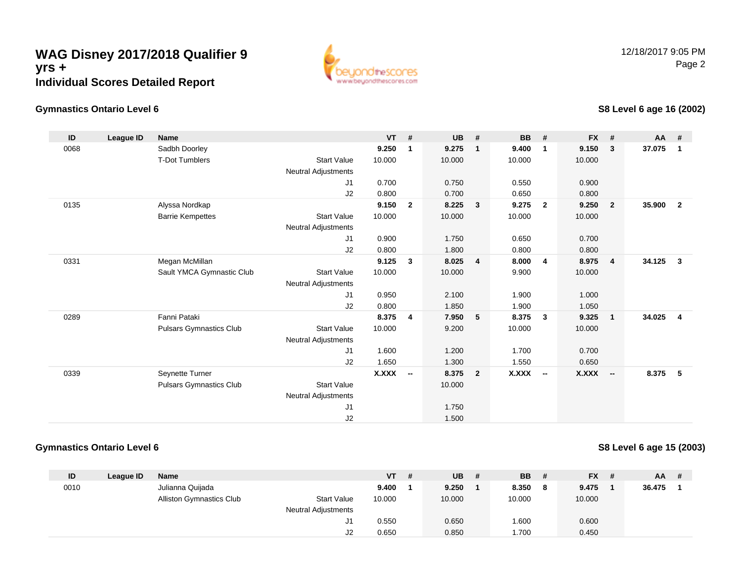

## **Gymnastics Ontario Level 6**

## **S8 Level 6 age 16 (2002)**

| ID   | League ID | <b>Name</b>                    |                            | <b>VT</b>    | #              | <b>UB</b> | #                       | <b>BB</b>    | #                        | <b>FX</b> | #                        | AA #   |                         |
|------|-----------|--------------------------------|----------------------------|--------------|----------------|-----------|-------------------------|--------------|--------------------------|-----------|--------------------------|--------|-------------------------|
| 0068 |           | Sadbh Doorley                  |                            | 9.250        | $\mathbf 1$    | 9.275     | $\mathbf 1$             | 9.400        | $\mathbf 1$              | 9.150     | 3                        | 37.075 | 1                       |
|      |           | <b>T-Dot Tumblers</b>          | <b>Start Value</b>         | 10.000       |                | 10.000    |                         | 10.000       |                          | 10.000    |                          |        |                         |
|      |           |                                | <b>Neutral Adjustments</b> |              |                |           |                         |              |                          |           |                          |        |                         |
|      |           |                                | J1                         | 0.700        |                | 0.750     |                         | 0.550        |                          | 0.900     |                          |        |                         |
|      |           |                                | J2                         | 0.800        |                | 0.700     |                         | 0.650        |                          | 0.800     |                          |        |                         |
| 0135 |           | Alyssa Nordkap                 |                            | 9.150        | $\overline{2}$ | 8.225     | $\mathbf{3}$            | 9.275        | $\mathbf{2}$             | 9.250     | $\overline{2}$           | 35.900 | $\overline{\mathbf{2}}$ |
|      |           | <b>Barrie Kempettes</b>        | <b>Start Value</b>         | 10.000       |                | 10.000    |                         | 10.000       |                          | 10.000    |                          |        |                         |
|      |           |                                | <b>Neutral Adjustments</b> |              |                |           |                         |              |                          |           |                          |        |                         |
|      |           |                                | J1                         | 0.900        |                | 1.750     |                         | 0.650        |                          | 0.700     |                          |        |                         |
|      |           |                                | J <sub>2</sub>             | 0.800        |                | 1.800     |                         | 0.800        |                          | 0.800     |                          |        |                         |
| 0331 |           | Megan McMillan                 |                            | 9.125        | $\mathbf{3}$   | 8.025     | $\overline{\mathbf{4}}$ | 8.000        | 4                        | 8.975     | $\overline{\mathbf{4}}$  | 34.125 | $\overline{\mathbf{3}}$ |
|      |           | Sault YMCA Gymnastic Club      | <b>Start Value</b>         | 10.000       |                | 10.000    |                         | 9.900        |                          | 10.000    |                          |        |                         |
|      |           |                                | <b>Neutral Adjustments</b> |              |                |           |                         |              |                          |           |                          |        |                         |
|      |           |                                | J <sub>1</sub>             | 0.950        |                | 2.100     |                         | 1.900        |                          | 1.000     |                          |        |                         |
|      |           |                                | J2                         | 0.800        |                | 1.850     |                         | 1.900        |                          | 1.050     |                          |        |                         |
| 0289 |           | Fanni Pataki                   |                            | 8.375        | $\overline{4}$ | 7.950     | -5                      | 8.375        | 3                        | 9.325     | $\mathbf{1}$             | 34.025 | $\overline{4}$          |
|      |           | <b>Pulsars Gymnastics Club</b> | <b>Start Value</b>         | 10.000       |                | 9.200     |                         | 10.000       |                          | 10.000    |                          |        |                         |
|      |           |                                | <b>Neutral Adjustments</b> |              |                |           |                         |              |                          |           |                          |        |                         |
|      |           |                                | J <sub>1</sub>             | 1.600        |                | 1.200     |                         | 1.700        |                          | 0.700     |                          |        |                         |
|      |           |                                | J2                         | 1.650        |                | 1.300     |                         | 1.550        |                          | 0.650     |                          |        |                         |
| 0339 |           | Seynette Turner                |                            | <b>X.XXX</b> | $\sim$         | 8.375     | $\overline{2}$          | <b>X.XXX</b> | $\overline{\phantom{a}}$ | X.XXX     | $\overline{\phantom{a}}$ | 8.375  | 5                       |
|      |           | <b>Pulsars Gymnastics Club</b> | <b>Start Value</b>         |              |                | 10.000    |                         |              |                          |           |                          |        |                         |
|      |           |                                | <b>Neutral Adjustments</b> |              |                |           |                         |              |                          |           |                          |        |                         |
|      |           |                                | J <sub>1</sub>             |              |                | 1.750     |                         |              |                          |           |                          |        |                         |
|      |           |                                | J2                         |              |                | 1.500     |                         |              |                          |           |                          |        |                         |

### **Gymnastics Ontario Level 6**

### **S8 Level 6 age 15 (2003)**

| ID   | League ID | Name                            |                            | VT     | # | <b>UB</b> | # | BB.    | # | <b>FX</b> | $AA$ # |  |
|------|-----------|---------------------------------|----------------------------|--------|---|-----------|---|--------|---|-----------|--------|--|
| 0010 |           | Julianna Quijada                |                            | 9.400  |   | 9.250     |   | 8.350  | 8 | 9.475     | 36.475 |  |
|      |           | <b>Alliston Gymnastics Club</b> | <b>Start Value</b>         | 10.000 |   | 10.000    |   | 10.000 |   | 10.000    |        |  |
|      |           |                                 | <b>Neutral Adjustments</b> |        |   |           |   |        |   |           |        |  |
|      |           |                                 | J1                         | 0.550  |   | 0.650     |   | 1.600  |   | 0.600     |        |  |
|      |           |                                 | J2                         | 0.650  |   | 0.850     |   | 1.700  |   | 0.450     |        |  |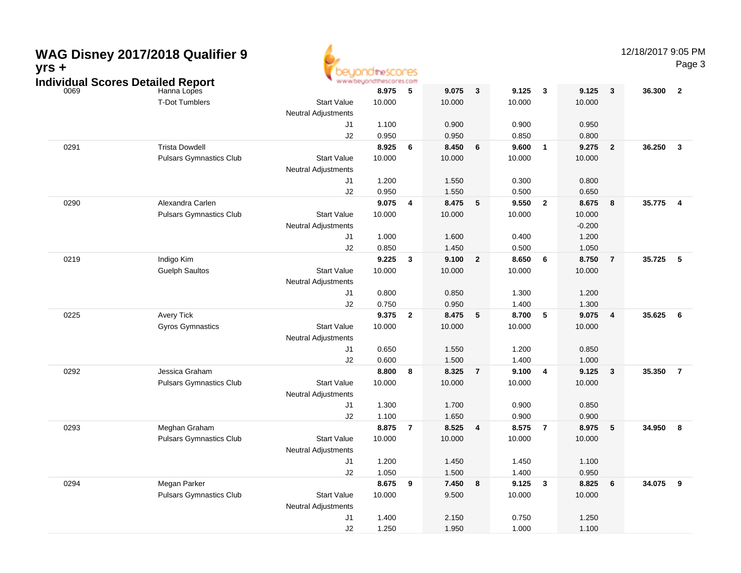| yrs + | WAG Disney 2017/2018 Qualifier 9<br><b>Individual Scores Detailed Report</b> |                                  | OtheSCOCES<br>www.beyondthescores.com |                         |                 |                         |                 |                         |                 |                | 12/18/2017 9:05 PM | Page 3                  |
|-------|------------------------------------------------------------------------------|----------------------------------|---------------------------------------|-------------------------|-----------------|-------------------------|-----------------|-------------------------|-----------------|----------------|--------------------|-------------------------|
| 0069  | Hanna Lopes<br><b>T-Dot Tumblers</b>                                         | <b>Start Value</b>               | 8.975<br>10.000                       | 5                       | 9.075<br>10.000 | $\mathbf{3}$            | 9.125<br>10.000 | $\mathbf{3}$            | 9.125<br>10.000 | $\mathbf{3}$   | 36.300             | $\overline{\mathbf{2}}$ |
|       |                                                                              | <b>Neutral Adjustments</b>       |                                       |                         |                 |                         |                 |                         |                 |                |                    |                         |
|       |                                                                              | J1                               | 1.100                                 |                         | 0.900           |                         | 0.900           |                         | 0.950           |                |                    |                         |
| 0291  | <b>Trista Dowdell</b>                                                        | J2                               | 0.950<br>8.925                        | 6                       | 0.950<br>8.450  | 6                       | 0.850<br>9.600  | $\overline{1}$          | 0.800<br>9.275  | $\overline{2}$ | 36.250             | $\overline{\mathbf{3}}$ |
|       | <b>Pulsars Gymnastics Club</b>                                               | <b>Start Value</b>               | 10.000                                |                         | 10.000          |                         | 10.000          |                         | 10.000          |                |                    |                         |
|       |                                                                              | <b>Neutral Adjustments</b>       |                                       |                         |                 |                         |                 |                         |                 |                |                    |                         |
|       |                                                                              | J1                               | 1.200                                 |                         | 1.550           |                         | 0.300           |                         | 0.800           |                |                    |                         |
|       |                                                                              | J2                               | 0.950                                 |                         | 1.550           |                         | 0.500           |                         | 0.650           |                |                    |                         |
| 0290  | Alexandra Carlen                                                             |                                  | 9.075                                 | $\overline{\mathbf{4}}$ | 8.475           | 5                       | 9.550           | $\overline{\mathbf{2}}$ | 8.675           | 8              | 35.775             | $\overline{\mathbf{4}}$ |
|       | <b>Pulsars Gymnastics Club</b>                                               | <b>Start Value</b>               | 10.000                                |                         | 10.000          |                         | 10.000          |                         | 10.000          |                |                    |                         |
|       |                                                                              | <b>Neutral Adjustments</b>       |                                       |                         |                 |                         |                 |                         | $-0.200$        |                |                    |                         |
|       |                                                                              | J1                               | 1.000                                 |                         | 1.600           |                         | 0.400           |                         | 1.200           |                |                    |                         |
|       |                                                                              | J2                               | 0.850                                 |                         | 1.450           |                         | 0.500           |                         | 1.050           |                |                    |                         |
| 0219  | Indigo Kim                                                                   |                                  | 9.225                                 | $\mathbf{3}$            | 9.100           | $\overline{2}$          | 8.650           | $6\phantom{1}6$         | 8.750           | $\overline{7}$ | 35.725             | $\sqrt{5}$              |
|       | <b>Guelph Saultos</b>                                                        | <b>Start Value</b>               | 10.000                                |                         | 10.000          |                         | 10.000          |                         | 10.000          |                |                    |                         |
|       |                                                                              | <b>Neutral Adjustments</b>       |                                       |                         |                 |                         |                 |                         |                 |                |                    |                         |
|       |                                                                              | J1                               | 0.800                                 |                         | 0.850           |                         | 1.300           |                         | 1.200           |                |                    |                         |
|       |                                                                              | J2                               | 0.750                                 |                         | 0.950           |                         | 1.400           |                         | 1.300           |                |                    |                         |
| 0225  | Avery Tick                                                                   |                                  | 9.375                                 | $\overline{\mathbf{2}}$ | 8.475           | 5                       | 8.700           | 5                       | 9.075           | 4              | 35.625             | 6                       |
|       | Gyros Gymnastics                                                             | <b>Start Value</b>               | 10.000                                |                         | 10.000          |                         | 10.000          |                         | 10.000          |                |                    |                         |
|       |                                                                              | <b>Neutral Adjustments</b>       |                                       |                         |                 |                         |                 |                         |                 |                |                    |                         |
|       |                                                                              | J1                               | 0.650                                 |                         | 1.550           |                         | 1.200           |                         | 0.850           |                |                    |                         |
|       |                                                                              | J2                               | 0.600                                 |                         | 1.500           |                         | 1.400           |                         | 1.000           |                |                    |                         |
| 0292  | Jessica Graham                                                               |                                  | 8.800                                 | 8                       | 8.325           | 7                       | 9.100           | $\overline{\mathbf{4}}$ | 9.125           | $\mathbf{3}$   | 35.350             | $\overline{7}$          |
|       | <b>Pulsars Gymnastics Club</b>                                               | <b>Start Value</b>               | 10.000                                |                         | 10.000          |                         | 10.000          |                         | 10.000          |                |                    |                         |
|       |                                                                              | <b>Neutral Adjustments</b>       |                                       |                         |                 |                         |                 |                         |                 |                |                    |                         |
|       |                                                                              | J1                               | 1.300                                 |                         | 1.700           |                         | 0.900           |                         | 0.850           |                |                    |                         |
|       |                                                                              | J2                               | 1.100                                 |                         | 1.650           |                         | 0.900           |                         | 0.900           |                |                    |                         |
| 0293  | Meghan Graham                                                                |                                  | 8.875                                 | $\overline{7}$          | 8.525           | $\overline{\mathbf{4}}$ | 8.575           | $\overline{7}$          | 8.975           | 5              | 34.950             | $\overline{\mathbf{8}}$ |
|       | <b>Pulsars Gymnastics Club</b>                                               | <b>Start Value</b>               | 10.000                                |                         | 10.000          |                         | 10.000          |                         | 10.000          |                |                    |                         |
|       |                                                                              | <b>Neutral Adjustments</b><br>J1 | 1.200                                 |                         | 1.450           |                         | 1.450           |                         | 1.100           |                |                    |                         |
|       |                                                                              | J2                               | 1.050                                 |                         | 1.500           |                         | 1.400           |                         | 0.950           |                |                    |                         |
| 0294  | Megan Parker                                                                 |                                  | 8.675 9                               |                         | 7.450 8         |                         | $9.125 \t3$     |                         | 8.825 6         |                | 34.075 9           |                         |
|       | <b>Pulsars Gymnastics Club</b>                                               | <b>Start Value</b>               | 10.000                                |                         | 9.500           |                         | 10.000          |                         | 10.000          |                |                    |                         |
|       |                                                                              | Neutral Adjustments              |                                       |                         |                 |                         |                 |                         |                 |                |                    |                         |
|       |                                                                              | J1                               | 1.400                                 |                         | 2.150           |                         | 0.750           |                         | 1.250           |                |                    |                         |
|       |                                                                              | $\sf J2$                         | 1.250                                 |                         | 1.950           |                         | 1.000           |                         | 1.100           |                |                    |                         |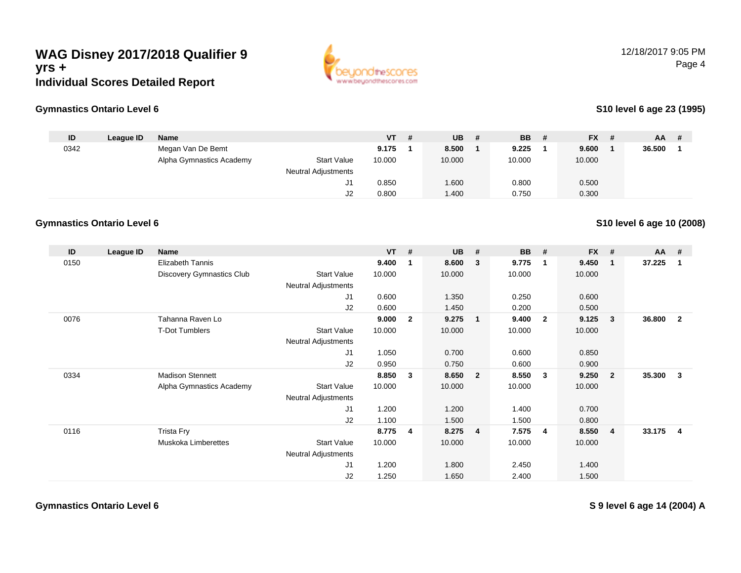

12/18/2017 9:05 PMPage 4

### **Gymnastics Ontario Level 6**

### **S10 level 6 age 23 (1995)**

**S10 level 6 age 10 (2008)**

| ID   | League ID | <b>Name</b>              |                     | $VT$ # | $UB$ # | <b>BB</b> | -# | <b>FX</b> | # | <b>AA</b> | - # |
|------|-----------|--------------------------|---------------------|--------|--------|-----------|----|-----------|---|-----------|-----|
| 0342 |           | Megan Van De Bemt        |                     | 9.175  | 8.500  | 9.225     |    | 9.600     |   | 36.500    |     |
|      |           | Alpha Gymnastics Academy | <b>Start Value</b>  | 10.000 | 10.000 | 10.000    |    | 10.000    |   |           |     |
|      |           |                          | Neutral Adjustments |        |        |           |    |           |   |           |     |
|      |           |                          | الت                 | 0.850  | 1.600  | 0.800     |    | 0.500     |   |           |     |
|      |           |                          | J2                  | 0.800  | .400   | 0.750     |    | 0.300     |   |           |     |

#### **Gymnastics Ontario Level 6**

| ID   | League ID | Name                       |                            | <b>VT</b> | #              | <b>UB</b> | #                       | <b>BB</b> | #                       | <b>FX</b> | #              | $AA$ # |                |
|------|-----------|----------------------------|----------------------------|-----------|----------------|-----------|-------------------------|-----------|-------------------------|-----------|----------------|--------|----------------|
| 0150 |           | <b>Elizabeth Tannis</b>    |                            | 9.400     | 1              | 8.600     | $\mathbf{3}$            | 9.775     | $\mathbf 1$             | 9.450     | $\mathbf{1}$   | 37.225 | 1              |
|      |           | Discovery Gymnastics Club  | <b>Start Value</b>         | 10.000    |                | 10.000    |                         | 10.000    |                         | 10.000    |                |        |                |
|      |           |                            | <b>Neutral Adjustments</b> |           |                |           |                         |           |                         |           |                |        |                |
|      |           |                            | J1                         | 0.600     |                | 1.350     |                         | 0.250     |                         | 0.600     |                |        |                |
|      |           |                            | J2                         | 0.600     |                | 1.450     |                         | 0.200     |                         | 0.500     |                |        |                |
| 0076 |           | Tahanna Raven Lo           |                            | 9.000     | $\overline{2}$ | 9.275     | $\overline{\mathbf{1}}$ | 9.400     | $\overline{\mathbf{2}}$ | 9.125     | 3              | 36.800 | $\overline{2}$ |
|      |           | <b>T-Dot Tumblers</b>      | <b>Start Value</b>         | 10.000    |                | 10.000    |                         | 10.000    |                         | 10.000    |                |        |                |
|      |           |                            | <b>Neutral Adjustments</b> |           |                |           |                         |           |                         |           |                |        |                |
|      |           |                            | J <sub>1</sub>             | 1.050     |                | 0.700     |                         | 0.600     |                         | 0.850     |                |        |                |
|      |           |                            | J2                         | 0.950     |                | 0.750     |                         | 0.600     |                         | 0.900     |                |        |                |
| 0334 |           | <b>Madison Stennett</b>    |                            | 8.850     | 3              | 8.650     | $\overline{\mathbf{2}}$ | 8.550     | - 3                     | 9.250     | $\overline{2}$ | 35.300 | 3              |
|      |           | Alpha Gymnastics Academy   | <b>Start Value</b>         | 10.000    |                | 10.000    |                         | 10.000    |                         | 10.000    |                |        |                |
|      |           |                            | <b>Neutral Adjustments</b> |           |                |           |                         |           |                         |           |                |        |                |
|      |           |                            | J1                         | 1.200     |                | 1.200     |                         | 1.400     |                         | 0.700     |                |        |                |
|      |           |                            | J2                         | 1.100     |                | 1.500     |                         | 1.500     |                         | 0.800     |                |        |                |
| 0116 |           | Trista Fry                 |                            | 8.775     | 4              | 8.275     | $\overline{4}$          | 7.575     | -4                      | 8.550     | 4              | 33.175 | 4              |
|      |           | <b>Muskoka Limberettes</b> | <b>Start Value</b>         | 10.000    |                | 10.000    |                         | 10.000    |                         | 10.000    |                |        |                |
|      |           |                            | Neutral Adjustments        |           |                |           |                         |           |                         |           |                |        |                |
|      |           |                            | J <sub>1</sub>             | 1.200     |                | 1.800     |                         | 2.450     |                         | 1.400     |                |        |                |
|      |           |                            | J2                         | 1.250     |                | 1.650     |                         | 2.400     |                         | 1.500     |                |        |                |

**Gymnastics Ontario Level 6**

**S 9 level 6 age 14 (2004) A**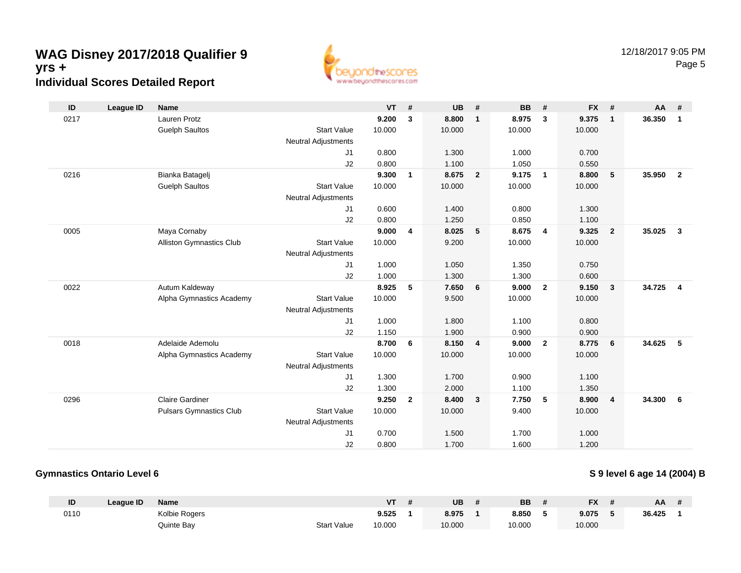

| ID   | <b>League ID</b> | <b>Name</b>                     |                            | $VT$ # |                | <b>UB</b> | #              | <b>BB</b> | #              | <b>FX</b> | #                       | AA     | #              |
|------|------------------|---------------------------------|----------------------------|--------|----------------|-----------|----------------|-----------|----------------|-----------|-------------------------|--------|----------------|
| 0217 |                  | <b>Lauren Protz</b>             |                            | 9.200  | 3              | 8.800     | $\mathbf{1}$   | 8.975     | 3              | 9.375     | $\overline{1}$          | 36.350 | $\overline{1}$ |
|      |                  | <b>Guelph Saultos</b>           | <b>Start Value</b>         | 10.000 |                | 10.000    |                | 10.000    |                | 10.000    |                         |        |                |
|      |                  |                                 | <b>Neutral Adjustments</b> |        |                |           |                |           |                |           |                         |        |                |
|      |                  |                                 | J1                         | 0.800  |                | 1.300     |                | 1.000     |                | 0.700     |                         |        |                |
|      |                  |                                 | J2                         | 0.800  |                | 1.100     |                | 1.050     |                | 0.550     |                         |        |                |
| 0216 |                  | Bianka Batagelj                 |                            | 9.300  | 1              | 8.675     | $\overline{2}$ | 9.175     | $\overline{1}$ | 8.800     | 5                       | 35.950 | $\overline{2}$ |
|      |                  | <b>Guelph Saultos</b>           | <b>Start Value</b>         | 10.000 |                | 10.000    |                | 10.000    |                | 10.000    |                         |        |                |
|      |                  |                                 | <b>Neutral Adjustments</b> |        |                |           |                |           |                |           |                         |        |                |
|      |                  |                                 | J1                         | 0.600  |                | 1.400     |                | 0.800     |                | 1.300     |                         |        |                |
|      |                  |                                 | J2                         | 0.800  |                | 1.250     |                | 0.850     |                | 1.100     |                         |        |                |
| 0005 |                  | Maya Cornaby                    |                            | 9.000  | 4              | 8.025     | 5              | 8.675     | 4              | 9.325     | $\overline{2}$          | 35.025 | $\mathbf{3}$   |
|      |                  | <b>Alliston Gymnastics Club</b> | <b>Start Value</b>         | 10.000 |                | 9.200     |                | 10.000    |                | 10.000    |                         |        |                |
|      |                  |                                 | <b>Neutral Adjustments</b> |        |                |           |                |           |                |           |                         |        |                |
|      |                  |                                 | J1                         | 1.000  |                | 1.050     |                | 1.350     |                | 0.750     |                         |        |                |
|      |                  |                                 | J2                         | 1.000  |                | 1.300     |                | 1.300     |                | 0.600     |                         |        |                |
| 0022 |                  | Autum Kaldeway                  |                            | 8.925  | 5              | 7.650     | 6              | 9.000     | $\overline{2}$ | 9.150     | $\overline{\mathbf{3}}$ | 34.725 | $\overline{4}$ |
|      |                  | Alpha Gymnastics Academy        | <b>Start Value</b>         | 10.000 |                | 9.500     |                | 10.000    |                | 10.000    |                         |        |                |
|      |                  |                                 | <b>Neutral Adjustments</b> |        |                |           |                |           |                |           |                         |        |                |
|      |                  |                                 | J1                         | 1.000  |                | 1.800     |                | 1.100     |                | 0.800     |                         |        |                |
|      |                  |                                 | J2                         | 1.150  |                | 1.900     |                | 0.900     |                | 0.900     |                         |        |                |
| 0018 |                  | Adelaide Ademolu                |                            | 8.700  | 6              | 8.150     | $\overline{4}$ | 9.000     | $\overline{2}$ | 8.775     | 6                       | 34.625 | 5              |
|      |                  | Alpha Gymnastics Academy        | <b>Start Value</b>         | 10.000 |                | 10.000    |                | 10.000    |                | 10.000    |                         |        |                |
|      |                  |                                 | <b>Neutral Adjustments</b> |        |                |           |                |           |                |           |                         |        |                |
|      |                  |                                 | J1                         | 1.300  |                | 1.700     |                | 0.900     |                | 1.100     |                         |        |                |
|      |                  |                                 | J2                         | 1.300  |                | 2.000     |                | 1.100     |                | 1.350     |                         |        |                |
| 0296 |                  | <b>Claire Gardiner</b>          |                            | 9.250  | $\overline{2}$ | 8.400     | $\mathbf{3}$   | 7.750     | 5              | 8.900     | $\overline{4}$          | 34.300 | - 6            |
|      |                  | <b>Pulsars Gymnastics Club</b>  | <b>Start Value</b>         | 10.000 |                | 10.000    |                | 9.400     |                | 10.000    |                         |        |                |
|      |                  |                                 | <b>Neutral Adjustments</b> |        |                |           |                |           |                |           |                         |        |                |
|      |                  |                                 | J1                         | 0.700  |                | 1.500     |                | 1.700     |                | 1.000     |                         |        |                |
|      |                  |                                 | J2                         | 0.800  |                | 1.700     |                | 1.600     |                | 1.200     |                         |        |                |

### **Gymnastics Ontario Level 6**

### **S 9 level 6 age 14 (2004) B**

| ID   | League ID | <b>Name</b>   |                    | VT     | <b>UB</b> | <b>BB</b> | <b>FX</b> | AA     |  |
|------|-----------|---------------|--------------------|--------|-----------|-----------|-----------|--------|--|
| 0110 |           | Kolbie Rogers |                    | 9.525  | 8.975     | 8.850     | 9.075     | 36.425 |  |
|      |           | Quinte Bay    | <b>Start Value</b> | 10.000 | 10.000    | 10.000    | 10.000    |        |  |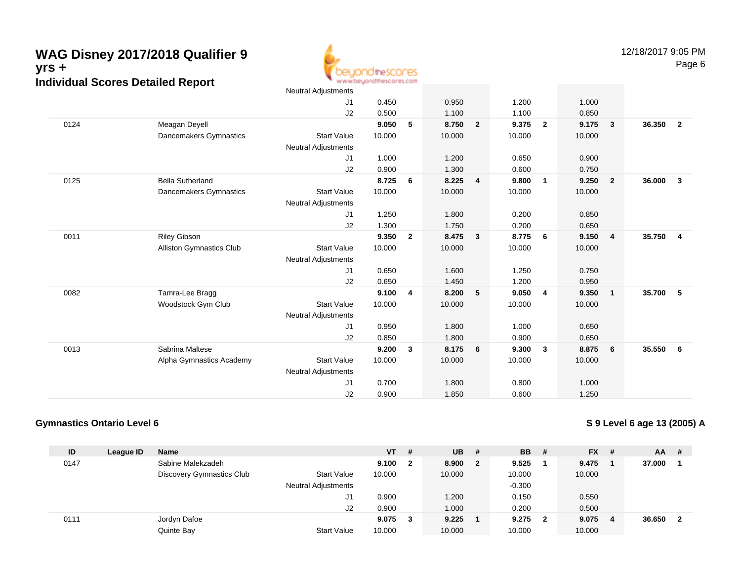

|      |                                 | Neutral Adjustments        |        |                |        |                         |        |                         |        |                         |        |                |
|------|---------------------------------|----------------------------|--------|----------------|--------|-------------------------|--------|-------------------------|--------|-------------------------|--------|----------------|
|      |                                 | J <sub>1</sub>             | 0.450  |                | 0.950  |                         | 1.200  |                         | 1.000  |                         |        |                |
|      |                                 | J2                         | 0.500  |                | 1.100  |                         | 1.100  |                         | 0.850  |                         |        |                |
| 0124 | Meagan Deyell                   |                            | 9.050  | 5              | 8.750  | $\overline{2}$          | 9.375  | $\overline{\mathbf{2}}$ | 9.175  | $\overline{\mathbf{3}}$ | 36.350 | $\overline{2}$ |
|      | Dancemakers Gymnastics          | <b>Start Value</b>         | 10.000 |                | 10.000 |                         | 10.000 |                         | 10.000 |                         |        |                |
|      |                                 | Neutral Adjustments        |        |                |        |                         |        |                         |        |                         |        |                |
|      |                                 | J1                         | 1.000  |                | 1.200  |                         | 0.650  |                         | 0.900  |                         |        |                |
|      |                                 | J2                         | 0.900  |                | 1.300  |                         | 0.600  |                         | 0.750  |                         |        |                |
| 0125 | <b>Bella Sutherland</b>         |                            | 8.725  | 6              | 8.225  | $\overline{4}$          | 9.800  | $\overline{1}$          | 9.250  | $\overline{\mathbf{2}}$ | 36.000 | $\mathbf{3}$   |
|      | Dancemakers Gymnastics          | <b>Start Value</b>         | 10.000 |                | 10.000 |                         | 10.000 |                         | 10.000 |                         |        |                |
|      |                                 | Neutral Adjustments        |        |                |        |                         |        |                         |        |                         |        |                |
|      |                                 | J1                         | 1.250  |                | 1.800  |                         | 0.200  |                         | 0.850  |                         |        |                |
|      |                                 | J2                         | 1.300  |                | 1.750  |                         | 0.200  |                         | 0.650  |                         |        |                |
| 0011 | <b>Riley Gibson</b>             |                            | 9.350  | $\overline{2}$ | 8.475  | $\overline{\mathbf{3}}$ | 8.775  | 6                       | 9.150  | $\overline{4}$          | 35.750 | $\overline{4}$ |
|      | <b>Alliston Gymnastics Club</b> | <b>Start Value</b>         | 10.000 |                | 10.000 |                         | 10.000 |                         | 10.000 |                         |        |                |
|      |                                 | <b>Neutral Adjustments</b> |        |                |        |                         |        |                         |        |                         |        |                |
|      |                                 | J1                         | 0.650  |                | 1.600  |                         | 1.250  |                         | 0.750  |                         |        |                |
|      |                                 | J2                         | 0.650  |                | 1.450  |                         | 1.200  |                         | 0.950  |                         |        |                |
| 0082 | Tamra-Lee Bragg                 |                            | 9.100  | 4              | 8.200  | $5\phantom{.0}$         | 9.050  | $\overline{4}$          | 9.350  | $\overline{1}$          | 35.700 | 5              |
|      | Woodstock Gym Club              | <b>Start Value</b>         | 10.000 |                | 10.000 |                         | 10.000 |                         | 10.000 |                         |        |                |
|      |                                 | <b>Neutral Adjustments</b> |        |                |        |                         |        |                         |        |                         |        |                |
|      |                                 | J1                         | 0.950  |                | 1.800  |                         | 1.000  |                         | 0.650  |                         |        |                |
|      |                                 | J2                         | 0.850  |                | 1.800  |                         | 0.900  |                         | 0.650  |                         |        |                |
| 0013 | Sabrina Maltese                 |                            | 9.200  | 3              | 8.175  | 6                       | 9.300  | $\mathbf{3}$            | 8.875  | 6                       | 35.550 | - 6            |
|      | Alpha Gymnastics Academy        | <b>Start Value</b>         | 10.000 |                | 10.000 |                         | 10.000 |                         | 10.000 |                         |        |                |
|      |                                 | <b>Neutral Adjustments</b> |        |                |        |                         |        |                         |        |                         |        |                |
|      |                                 | J1                         | 0.700  |                | 1.800  |                         | 0.800  |                         | 1.000  |                         |        |                |
|      |                                 | J2                         | 0.900  |                | 1.850  |                         | 0.600  |                         | 1.250  |                         |        |                |
|      |                                 |                            |        |                |        |                         |        |                         |        |                         |        |                |

### **Gymnastics Ontario Level 6**

**S 9 Level 6 age 13 (2005) A**

| ID   | League ID | <b>Name</b>                      |                            | <b>VT</b> | #            | <b>UB</b> | - #          | <b>BB</b> | - #                     | <b>FX</b> | - # | AA     | -# |
|------|-----------|----------------------------------|----------------------------|-----------|--------------|-----------|--------------|-----------|-------------------------|-----------|-----|--------|----|
| 0147 |           | Sabine Malekzadeh                |                            | 9.100     | $\mathbf{2}$ | 8.900     | $\mathbf{2}$ | 9.525     |                         | 9.475     |     | 37.000 |    |
|      |           | <b>Discovery Gymnastics Club</b> | <b>Start Value</b>         | 10.000    |              | 10.000    |              | 10.000    |                         | 10.000    |     |        |    |
|      |           |                                  | <b>Neutral Adjustments</b> |           |              |           |              | $-0.300$  |                         |           |     |        |    |
|      |           |                                  | J1                         | 0.900     |              | 1.200     |              | 0.150     |                         | 0.550     |     |        |    |
|      |           |                                  | J2                         | 0.900     |              | 1.000     |              | 0.200     |                         | 0.500     |     |        |    |
| 0111 |           | Jordyn Dafoe                     |                            | 9.075     | 3            | 9.225     |              | 9.275     | $\overline{\mathbf{2}}$ | 9.075     | -4  | 36.650 | -2 |
|      |           | Quinte Bay                       | <b>Start Value</b>         | 10.000    |              | 10.000    |              | 10.000    |                         | 10.000    |     |        |    |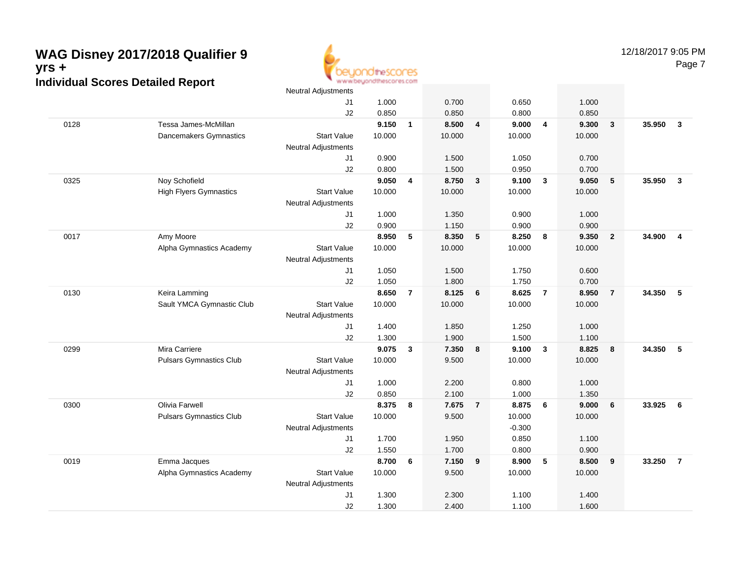

Page 7

|      |                                | <b>Neutral Adjustments</b> |        |                |        |                |          |                |        |                  |        |                         |
|------|--------------------------------|----------------------------|--------|----------------|--------|----------------|----------|----------------|--------|------------------|--------|-------------------------|
|      |                                | J1                         | 1.000  |                | 0.700  |                | 0.650    |                | 1.000  |                  |        |                         |
|      |                                | J <sub>2</sub>             | 0.850  |                | 0.850  |                | 0.800    |                | 0.850  |                  |        |                         |
| 0128 | Tessa James-McMillan           |                            | 9.150  | $\mathbf{1}$   | 8.500  | 4              | 9.000    | $\overline{4}$ | 9.300  | $\mathbf{3}$     | 35.950 | $\overline{\mathbf{3}}$ |
|      | Dancemakers Gymnastics         | <b>Start Value</b>         | 10.000 |                | 10.000 |                | 10.000   |                | 10.000 |                  |        |                         |
|      |                                | <b>Neutral Adjustments</b> |        |                |        |                |          |                |        |                  |        |                         |
|      |                                | J1                         | 0.900  |                | 1.500  |                | 1.050    |                | 0.700  |                  |        |                         |
|      |                                | J2                         | 0.800  |                | 1.500  |                | 0.950    |                | 0.700  |                  |        |                         |
| 0325 | Noy Schofield                  |                            | 9.050  | 4              | 8.750  | $\mathbf{3}$   | 9.100    | $\mathbf{3}$   | 9.050  | 5                | 35.950 | $\overline{3}$          |
|      | <b>High Flyers Gymnastics</b>  | <b>Start Value</b>         | 10.000 |                | 10.000 |                | 10.000   |                | 10.000 |                  |        |                         |
|      |                                | <b>Neutral Adjustments</b> |        |                |        |                |          |                |        |                  |        |                         |
|      |                                | J1                         | 1.000  |                | 1.350  |                | 0.900    |                | 1.000  |                  |        |                         |
|      |                                | J2                         | 0.900  |                | 1.150  |                | 0.900    |                | 0.900  |                  |        |                         |
| 0017 | Amy Moore                      |                            | 8.950  | 5              | 8.350  | 5              | 8.250    | 8              | 9.350  | $\overline{2}$   | 34.900 | $\overline{4}$          |
|      | Alpha Gymnastics Academy       | <b>Start Value</b>         | 10.000 |                | 10.000 |                | 10.000   |                | 10.000 |                  |        |                         |
|      |                                | <b>Neutral Adjustments</b> |        |                |        |                |          |                |        |                  |        |                         |
|      |                                | J1                         | 1.050  |                | 1.500  |                | 1.750    |                | 0.600  |                  |        |                         |
|      |                                | J2                         | 1.050  |                | 1.800  |                | 1.750    |                | 0.700  |                  |        |                         |
| 0130 | Keira Lamming                  |                            | 8.650  | $\overline{7}$ | 8.125  | 6              | 8.625    | $\overline{7}$ | 8.950  | $\overline{7}$   | 34.350 | 5                       |
|      | Sault YMCA Gymnastic Club      | <b>Start Value</b>         | 10.000 |                | 10.000 |                | 10.000   |                | 10.000 |                  |        |                         |
|      |                                | <b>Neutral Adjustments</b> |        |                |        |                |          |                |        |                  |        |                         |
|      |                                | J1                         | 1.400  |                | 1.850  |                | 1.250    |                | 1.000  |                  |        |                         |
|      |                                | J2                         | 1.300  |                | 1.900  |                | 1.500    |                | 1.100  |                  |        |                         |
| 0299 | Mira Carriere                  |                            | 9.075  | 3              | 7.350  | 8              | 9.100    | $\mathbf{3}$   | 8.825  | $\boldsymbol{8}$ | 34.350 | 5                       |
|      | <b>Pulsars Gymnastics Club</b> | <b>Start Value</b>         | 10.000 |                | 9.500  |                | 10.000   |                | 10.000 |                  |        |                         |
|      |                                | <b>Neutral Adjustments</b> |        |                |        |                |          |                |        |                  |        |                         |
|      |                                | J1                         | 1.000  |                | 2.200  |                | 0.800    |                | 1.000  |                  |        |                         |
|      |                                | J2                         | 0.850  |                | 2.100  |                | 1.000    |                | 1.350  |                  |        |                         |
| 0300 | <b>Olivia Farwell</b>          |                            | 8.375  | 8              | 7.675  | $\overline{7}$ | 8.875    | 6              | 9.000  | 6                | 33.925 | 6                       |
|      | <b>Pulsars Gymnastics Club</b> | <b>Start Value</b>         | 10.000 |                | 9.500  |                | 10.000   |                | 10.000 |                  |        |                         |
|      |                                | <b>Neutral Adjustments</b> |        |                |        |                | $-0.300$ |                |        |                  |        |                         |
|      |                                | J1                         | 1.700  |                | 1.950  |                | 0.850    |                | 1.100  |                  |        |                         |
|      |                                | J2                         | 1.550  |                | 1.700  |                | 0.800    |                | 0.900  |                  |        |                         |
| 0019 | Emma Jacques                   |                            | 8.700  | 6              | 7.150  | 9              | 8.900    | 5              | 8.500  | 9                | 33.250 | $\overline{7}$          |
|      | Alpha Gymnastics Academy       | <b>Start Value</b>         | 10.000 |                | 9.500  |                | 10.000   |                | 10.000 |                  |        |                         |
|      |                                | <b>Neutral Adjustments</b> |        |                |        |                |          |                |        |                  |        |                         |
|      |                                | J1                         | 1.300  |                | 2.300  |                | 1.100    |                | 1.400  |                  |        |                         |
|      |                                | J2                         | 1.300  |                | 2.400  |                | 1.100    |                | 1.600  |                  |        |                         |
|      |                                |                            |        |                |        |                |          |                |        |                  |        |                         |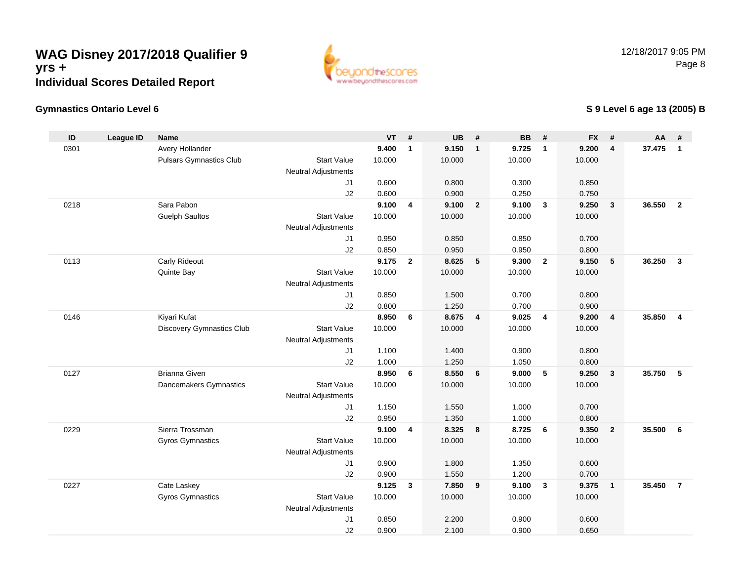

## **Gymnastics Ontario Level 6**

## **S 9 Level 6 age 13 (2005) B**

| ID   | <b>League ID</b> | <b>Name</b>                      |                            | <b>VT</b>       | #              | <b>UB</b>       | #                       | <b>BB</b>       | #                       | <b>FX</b> | #                       | AA #   |                |
|------|------------------|----------------------------------|----------------------------|-----------------|----------------|-----------------|-------------------------|-----------------|-------------------------|-----------|-------------------------|--------|----------------|
| 0301 |                  | Avery Hollander                  |                            | 9.400           | $\mathbf{1}$   | 9.150           | $\overline{1}$          | 9.725           | $\overline{1}$          | 9.200     | 4                       | 37.475 | $\mathbf{1}$   |
|      |                  | <b>Pulsars Gymnastics Club</b>   | <b>Start Value</b>         | 10.000          |                | 10.000          |                         | 10.000          |                         | 10.000    |                         |        |                |
|      |                  |                                  | <b>Neutral Adjustments</b> |                 |                |                 |                         |                 |                         |           |                         |        |                |
|      |                  |                                  | J <sub>1</sub>             | 0.600           |                | 0.800           |                         | 0.300           |                         | 0.850     |                         |        |                |
|      |                  |                                  | J2                         | 0.600           |                | 0.900           |                         | 0.250           |                         | 0.750     |                         |        |                |
| 0218 |                  | Sara Pabon                       |                            | 9.100           | 4              | 9.100           | $\overline{\mathbf{2}}$ | 9.100           | $\mathbf{3}$            | 9.250     | $\mathbf{3}$            | 36.550 | $\overline{2}$ |
|      |                  | <b>Guelph Saultos</b>            | <b>Start Value</b>         | 10.000          |                | 10.000          |                         | 10.000          |                         | 10.000    |                         |        |                |
|      |                  |                                  | Neutral Adjustments        |                 |                |                 |                         |                 |                         |           |                         |        |                |
|      |                  |                                  | J1                         | 0.950           |                | 0.850           |                         | 0.850           |                         | 0.700     |                         |        |                |
|      |                  |                                  | J2                         | 0.850           |                | 0.950           |                         | 0.950           |                         | 0.800     |                         |        |                |
| 0113 |                  | Carly Rideout                    |                            | 9.175           | $\overline{2}$ | 8.625           | 5                       | 9.300           | $\overline{2}$          | 9.150     | ${\bf 5}$               | 36.250 | $\mathbf{3}$   |
|      |                  | Quinte Bay                       | <b>Start Value</b>         | 10.000          |                | 10.000          |                         | 10.000          |                         | 10.000    |                         |        |                |
|      |                  |                                  | Neutral Adjustments        |                 |                |                 |                         |                 |                         |           |                         |        |                |
|      |                  |                                  | J1                         | 0.850           |                | 1.500           |                         | 0.700           |                         | 0.800     |                         |        |                |
|      |                  |                                  | J2                         | 0.800           |                | 1.250           |                         | 0.700           |                         | 0.900     |                         |        |                |
| 0146 |                  | Kiyari Kufat                     |                            | 8.950           | 6              | 8.675           | $\overline{\mathbf{4}}$ | 9.025           | $\overline{\mathbf{4}}$ | 9.200     | $\overline{\mathbf{4}}$ | 35.850 | $\overline{4}$ |
|      |                  | <b>Discovery Gymnastics Club</b> | <b>Start Value</b>         | 10.000          |                | 10.000          |                         | 10.000          |                         | 10.000    |                         |        |                |
|      |                  |                                  | Neutral Adjustments        |                 |                |                 |                         |                 |                         |           |                         |        |                |
|      |                  |                                  | J1                         | 1.100           |                | 1.400           |                         | 0.900           |                         | 0.800     |                         |        |                |
|      |                  |                                  | J2                         | 1.000           |                | 1.250           |                         | 1.050           |                         | 0.800     |                         |        |                |
| 0127 |                  | <b>Brianna Given</b>             |                            | 8.950           | 6              | 8.550           | $6\phantom{1}6$         | 9.000           | 5                       | 9.250     | $\mathbf{3}$            | 35.750 | 5              |
|      |                  | Dancemakers Gymnastics           | <b>Start Value</b>         | 10.000          |                | 10.000          |                         | 10.000          |                         | 10.000    |                         |        |                |
|      |                  |                                  | Neutral Adjustments        |                 |                |                 |                         |                 |                         |           |                         |        |                |
|      |                  |                                  | J1                         | 1.150           |                | 1.550           |                         | 1.000           |                         | 0.700     |                         |        |                |
|      |                  |                                  | J2                         | 0.950           |                | 1.350           |                         | 1.000           |                         | 0.800     |                         |        |                |
| 0229 |                  | Sierra Trossman                  |                            | 9.100           | 4              | 8.325           | $\boldsymbol{8}$        | 8.725           | 6                       | 9.350     | $\mathbf{2}$            | 35.500 | 6              |
|      |                  | <b>Gyros Gymnastics</b>          | <b>Start Value</b>         | 10.000          |                | 10.000          |                         | 10.000          |                         | 10.000    |                         |        |                |
|      |                  |                                  | Neutral Adjustments        |                 |                |                 |                         |                 |                         |           |                         |        |                |
|      |                  |                                  | J1                         | 0.900           |                | 1.800           |                         | 1.350           |                         | 0.600     |                         |        |                |
|      |                  |                                  | J2                         | 0.900           |                | 1.550           |                         | 1.200           |                         | 0.700     |                         | 35.450 |                |
| 0227 |                  | Cate Laskey                      | <b>Start Value</b>         | 9.125<br>10.000 | $\mathbf{3}$   | 7.850<br>10.000 | 9                       | 9.100<br>10.000 | $\overline{\mathbf{3}}$ | 9.375     | $\mathbf{1}$            |        | $\overline{7}$ |
|      |                  | <b>Gyros Gymnastics</b>          |                            |                 |                |                 |                         |                 |                         | 10.000    |                         |        |                |
|      |                  |                                  | Neutral Adjustments<br>J1  | 0.850           |                | 2.200           |                         | 0.900           |                         | 0.600     |                         |        |                |
|      |                  |                                  | J2                         | 0.900           |                | 2.100           |                         | 0.900           |                         | 0.650     |                         |        |                |
|      |                  |                                  |                            |                 |                |                 |                         |                 |                         |           |                         |        |                |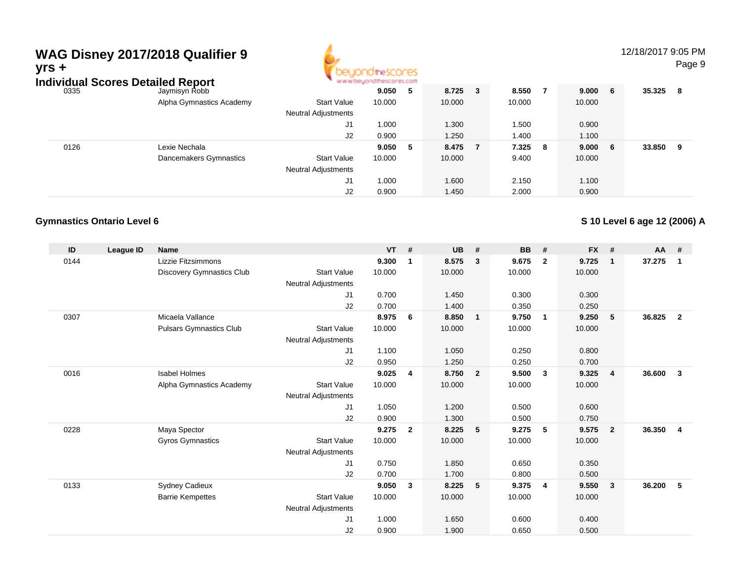# **WAG Disney 2017/2018 Qualifier 9yrs +**



12/18/2017 9:05 PMPage 9

|      | Individual Scores Detailed Report |                          |                            | www.beyondthescores.com |     |        |     |         |  |         |   |        |     |
|------|-----------------------------------|--------------------------|----------------------------|-------------------------|-----|--------|-----|---------|--|---------|---|--------|-----|
| 0335 |                                   | Jaymisyn Robb            |                            | 9.050                   | - 5 | 8.725  | - 3 | 8.550   |  | 9.000 6 |   | 35.325 | - 8 |
|      |                                   | Alpha Gymnastics Academy | <b>Start Value</b>         | 10.000                  |     | 10.000 |     | 10.000  |  | 10.000  |   |        |     |
|      |                                   |                          | <b>Neutral Adjustments</b> |                         |     |        |     |         |  |         |   |        |     |
|      |                                   |                          | J1                         | 1.000                   |     | 1.300  |     | 1.500   |  | 0.900   |   |        |     |
|      |                                   |                          | J2                         | 0.900                   |     | 1.250  |     | 1.400   |  | 1.100   |   |        |     |
|      | 0126                              | Lexie Nechala            |                            | 9.050                   | - 5 | 8.475  |     | 7.325 8 |  | 9.000   | 6 | 33.850 | 9   |
|      |                                   | Dancemakers Gymnastics   | <b>Start Value</b>         | 10.000                  |     | 10.000 |     | 9.400   |  | 10.000  |   |        |     |
|      |                                   |                          | <b>Neutral Adjustments</b> |                         |     |        |     |         |  |         |   |        |     |
|      |                                   |                          | J1                         | 1.000                   |     | 1.600  |     | 2.150   |  | 1.100   |   |        |     |
|      |                                   |                          | J2                         | 0.900                   |     | 1.450  |     | 2.000   |  | 0.900   |   |        |     |

## **Gymnastics Ontario Level 6**

**S 10 Level 6 age 12 (2006) A**

| ID   | League ID | <b>Name</b>                    |                            | <b>VT</b> | #              | <b>UB</b> | #               | <b>BB</b> | #              | <b>FX</b> | #              | $AA$ # |                |
|------|-----------|--------------------------------|----------------------------|-----------|----------------|-----------|-----------------|-----------|----------------|-----------|----------------|--------|----------------|
| 0144 |           | Lizzie Fitzsimmons             |                            | 9.300     | $\mathbf{1}$   | 8.575     | 3               | 9.675     | $\overline{2}$ | 9.725     | $\mathbf{1}$   | 37.275 | 1              |
|      |           | Discovery Gymnastics Club      | <b>Start Value</b>         | 10.000    |                | 10.000    |                 | 10.000    |                | 10.000    |                |        |                |
|      |           |                                | Neutral Adjustments        |           |                |           |                 |           |                |           |                |        |                |
|      |           |                                | J1                         | 0.700     |                | 1.450     |                 | 0.300     |                | 0.300     |                |        |                |
|      |           |                                | J2                         | 0.700     |                | 1.400     |                 | 0.350     |                | 0.250     |                |        |                |
| 0307 |           | Micaela Vallance               |                            | 8.975     | 6              | 8.850     | $\overline{1}$  | 9.750     | $\overline{1}$ | 9.250     | 5              | 36.825 | $\overline{2}$ |
|      |           | <b>Pulsars Gymnastics Club</b> | <b>Start Value</b>         | 10.000    |                | 10.000    |                 | 10.000    |                | 10.000    |                |        |                |
|      |           |                                | <b>Neutral Adjustments</b> |           |                |           |                 |           |                |           |                |        |                |
|      |           |                                | J1                         | 1.100     |                | 1.050     |                 | 0.250     |                | 0.800     |                |        |                |
|      |           |                                | J2                         | 0.950     |                | 1.250     |                 | 0.250     |                | 0.700     |                |        |                |
| 0016 |           | <b>Isabel Holmes</b>           |                            | 9.025     | 4              | 8.750     | $\overline{2}$  | 9.500     | $\mathbf{3}$   | 9.325     | $\overline{4}$ | 36.600 | 3              |
|      |           | Alpha Gymnastics Academy       | <b>Start Value</b>         | 10.000    |                | 10.000    |                 | 10.000    |                | 10.000    |                |        |                |
|      |           |                                | <b>Neutral Adjustments</b> |           |                |           |                 |           |                |           |                |        |                |
|      |           |                                | J1                         | 1.050     |                | 1.200     |                 | 0.500     |                | 0.600     |                |        |                |
|      |           |                                | J2                         | 0.900     |                | 1.300     |                 | 0.500     |                | 0.750     |                |        |                |
| 0228 |           | Maya Spector                   |                            | 9.275     | $\overline{2}$ | 8.225     | 5               | 9.275     | 5              | 9.575     | $\overline{2}$ | 36.350 | $\overline{4}$ |
|      |           | Gyros Gymnastics               | <b>Start Value</b>         | 10.000    |                | 10.000    |                 | 10.000    |                | 10.000    |                |        |                |
|      |           |                                | <b>Neutral Adjustments</b> |           |                |           |                 |           |                |           |                |        |                |
|      |           |                                | J1                         | 0.750     |                | 1.850     |                 | 0.650     |                | 0.350     |                |        |                |
|      |           |                                | J2                         | 0.700     |                | 1.700     |                 | 0.800     |                | 0.500     |                |        |                |
| 0133 |           | Sydney Cadieux                 |                            | 9.050     | 3              | 8.225     | $5\phantom{.0}$ | 9.375     | 4              | 9.550     | 3              | 36.200 | -5             |
|      |           | <b>Barrie Kempettes</b>        | <b>Start Value</b>         | 10.000    |                | 10.000    |                 | 10.000    |                | 10.000    |                |        |                |
|      |           |                                | <b>Neutral Adjustments</b> |           |                |           |                 |           |                |           |                |        |                |
|      |           |                                | J1                         | 1.000     |                | 1.650     |                 | 0.600     |                | 0.400     |                |        |                |
|      |           |                                | J <sub>2</sub>             | 0.900     |                | 1.900     |                 | 0.650     |                | 0.500     |                |        |                |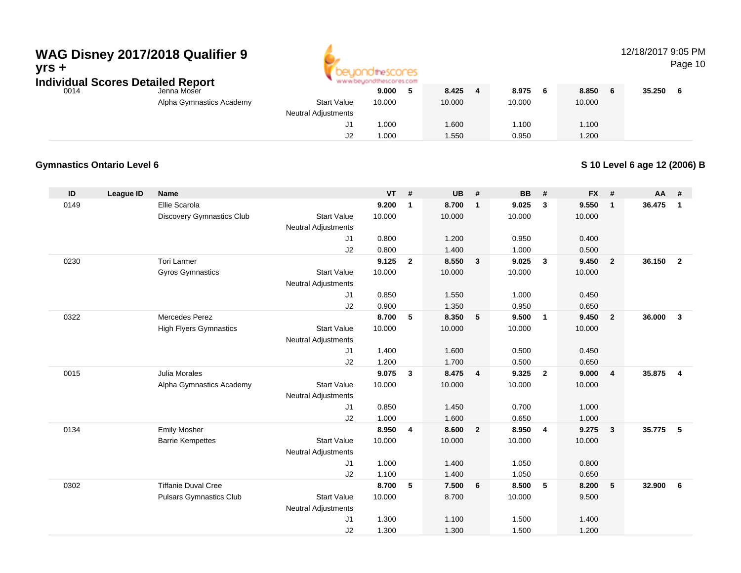## **WAG Disney 2017/2018 Qualifier 9yrs +**



## 12/18/2017 9:05 PM

Page 10

**Individual Scores Detailed Report**

| Jenna Moser             |
|-------------------------|
| Alpha Gymnastics Academ |

| dual Scores Detailed Report |                          | www.beyondthescores.com    |        |  |        |        |   |        |        |  |
|-----------------------------|--------------------------|----------------------------|--------|--|--------|--------|---|--------|--------|--|
| 0014                        | Jenna Moser              |                            | 9.000  |  | 8.425  | 8.975  | 6 | 8.850  | 35.250 |  |
|                             | Alpha Gymnastics Academy | <b>Start Value</b>         | 10.000 |  | 10.000 | 10.000 |   | 10.000 |        |  |
|                             |                          | <b>Neutral Adjustments</b> |        |  |        |        |   |        |        |  |
|                             |                          | J1                         | 1.000  |  | .600   | .100   |   | 1.100  |        |  |
|                             |                          | J2                         | .000   |  | .550   | 0.950  |   | 1.200  |        |  |

### **Gymnastics Ontario Level 6**

### **S 10 Level 6 age 12 (2006) B**

| 0149<br>Ellie Scarola<br>9.200<br>8.700<br>9.025<br>$\mathbf{3}$<br>9.550<br>$\mathbf{1}$<br>$\mathbf{1}$<br>1                                                            | 36.475<br>$\mathbf{1}$            |
|---------------------------------------------------------------------------------------------------------------------------------------------------------------------------|-----------------------------------|
|                                                                                                                                                                           |                                   |
| <b>Start Value</b><br>Discovery Gymnastics Club<br>10.000<br>10.000<br>10.000<br>10.000                                                                                   |                                   |
| <b>Neutral Adjustments</b>                                                                                                                                                |                                   |
| 0.800<br>1.200<br>0.950<br>0.400<br>J1                                                                                                                                    |                                   |
| 0.800<br>1.400<br>J2<br>1.000<br>0.500                                                                                                                                    |                                   |
| 0230<br><b>Tori Larmer</b><br>9.125<br>8.550<br>$\overline{2}$<br>$\mathbf{3}$<br>9.025<br>$\mathbf{3}$<br>9.450<br>$\overline{2}$                                        | 36.150<br>$\overline{2}$          |
| <b>Gyros Gymnastics</b><br><b>Start Value</b><br>10.000<br>10.000<br>10.000<br>10.000                                                                                     |                                   |
| <b>Neutral Adjustments</b>                                                                                                                                                |                                   |
| 0.850<br>1.550<br>0.450<br>J1<br>1.000                                                                                                                                    |                                   |
| J2<br>0.900<br>1.350<br>0.950<br>0.650                                                                                                                                    |                                   |
| 0322<br>Mercedes Perez<br>8.700<br>5<br>8.350<br>9.500<br>9.450<br>5<br>$\overline{1}$<br>$\overline{2}$                                                                  | 36.000<br>$\overline{\mathbf{3}}$ |
| <b>High Flyers Gymnastics</b><br><b>Start Value</b><br>10.000<br>10.000<br>10.000<br>10.000                                                                               |                                   |
| <b>Neutral Adjustments</b>                                                                                                                                                |                                   |
| 1.400<br>1.600<br>0.500<br>0.450<br>J1                                                                                                                                    |                                   |
| 1.200<br>1.700<br>J2<br>0.500<br>0.650<br>0015<br>9.075<br>8.475<br>9.325<br>Julia Morales<br>$\mathbf{3}$<br>$\overline{2}$<br>9.000<br>$\overline{4}$<br>$\overline{4}$ | 35.875<br>$\overline{4}$          |
| <b>Start Value</b><br>10.000                                                                                                                                              |                                   |
| 10.000<br>10.000<br>10.000<br>Alpha Gymnastics Academy<br><b>Neutral Adjustments</b>                                                                                      |                                   |
| 0.850<br>1.450<br>0.700<br>1.000<br>J1                                                                                                                                    |                                   |
| 1.000<br>1.600<br>0.650<br>1.000<br>J2                                                                                                                                    |                                   |
| 0134<br><b>Emily Mosher</b><br>8.950<br>8.600<br>8.950<br>9.275<br>4<br>$\overline{2}$<br>$\overline{4}$<br>$\mathbf{3}$                                                  | 35.775<br>-5                      |
| <b>Start Value</b><br>10.000<br>10.000<br>10.000<br>10.000<br><b>Barrie Kempettes</b>                                                                                     |                                   |
| <b>Neutral Adjustments</b>                                                                                                                                                |                                   |
| 1.000<br>1.400<br>1.050<br>0.800<br>J1                                                                                                                                    |                                   |
| 1.100<br>J2<br>1.400<br>1.050<br>0.650                                                                                                                                    |                                   |
| 0302<br><b>Tiffanie Duval Cree</b><br>8.700<br>5<br>7.500<br>8.500<br>5<br>8.200<br>5<br>6                                                                                | 32.900<br>- 6                     |
| <b>Start Value</b><br>10.000<br>8.700<br>10.000<br>9.500<br><b>Pulsars Gymnastics Club</b>                                                                                |                                   |
| <b>Neutral Adjustments</b>                                                                                                                                                |                                   |
| 1.300<br>1.100<br>1.500<br>1.400<br>J1                                                                                                                                    |                                   |
| J2<br>1.300<br>1.300<br>1.500<br>1.200                                                                                                                                    |                                   |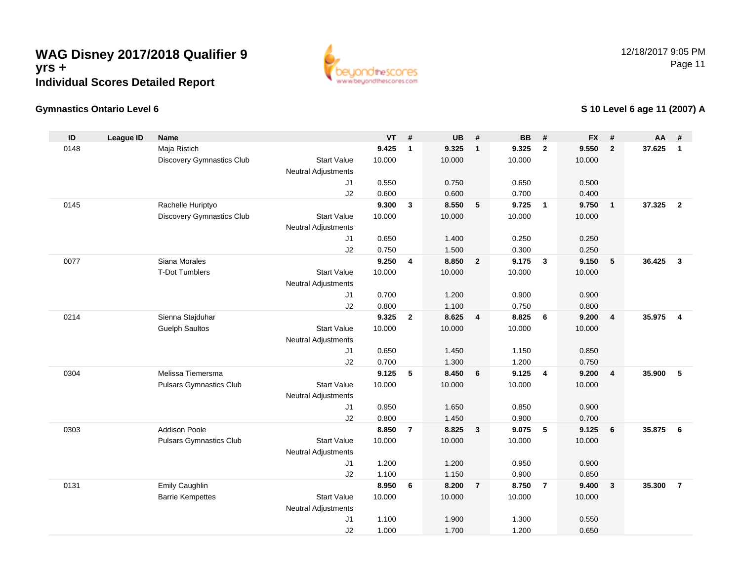

## **Gymnastics Ontario Level 6**

## **S 10 Level 6 age 11 (2007) A**

| ID   | <b>League ID</b> | <b>Name</b>                    |                            | <b>VT</b> | #              | <b>UB</b> | #                       | <b>BB</b> | #              | <b>FX</b> | #              | <b>AA</b> | #              |
|------|------------------|--------------------------------|----------------------------|-----------|----------------|-----------|-------------------------|-----------|----------------|-----------|----------------|-----------|----------------|
| 0148 |                  | Maja Ristich                   |                            | 9.425     | $\mathbf{1}$   | 9.325     | $\mathbf{1}$            | 9.325     | $\overline{2}$ | 9.550     | $\overline{2}$ | 37.625    | $\overline{1}$ |
|      |                  | Discovery Gymnastics Club      | <b>Start Value</b>         | 10.000    |                | 10.000    |                         | 10.000    |                | 10.000    |                |           |                |
|      |                  |                                | <b>Neutral Adjustments</b> |           |                |           |                         |           |                |           |                |           |                |
|      |                  |                                | J1                         | 0.550     |                | 0.750     |                         | 0.650     |                | 0.500     |                |           |                |
|      |                  |                                | J2                         | 0.600     |                | 0.600     |                         | 0.700     |                | 0.400     |                |           |                |
| 0145 |                  | Rachelle Huriptyo              |                            | 9.300     | 3              | 8.550     | $-5$                    | 9.725     | $\overline{1}$ | 9.750     | $\mathbf{1}$   | 37.325    | $\overline{2}$ |
|      |                  | Discovery Gymnastics Club      | <b>Start Value</b>         | 10.000    |                | 10.000    |                         | 10.000    |                | 10.000    |                |           |                |
|      |                  |                                | <b>Neutral Adjustments</b> |           |                |           |                         |           |                |           |                |           |                |
|      |                  |                                | J1                         | 0.650     |                | 1.400     |                         | 0.250     |                | 0.250     |                |           |                |
|      |                  |                                | J2                         | 0.750     |                | 1.500     |                         | 0.300     |                | 0.250     |                |           |                |
| 0077 |                  | Siana Morales                  |                            | 9.250     | $\overline{4}$ | 8.850     | $\overline{\mathbf{2}}$ | 9.175     | $\mathbf{3}$   | 9.150     | 5              | 36.425    | $\mathbf{3}$   |
|      |                  | <b>T-Dot Tumblers</b>          | <b>Start Value</b>         | 10.000    |                | 10.000    |                         | 10.000    |                | 10.000    |                |           |                |
|      |                  |                                | <b>Neutral Adjustments</b> |           |                |           |                         |           |                |           |                |           |                |
|      |                  |                                | J1                         | 0.700     |                | 1.200     |                         | 0.900     |                | 0.900     |                |           |                |
|      |                  |                                | J2                         | 0.800     |                | 1.100     |                         | 0.750     |                | 0.800     |                |           |                |
| 0214 |                  | Sienna Stajduhar               |                            | 9.325     | $\mathbf{2}$   | 8.625     | $\overline{4}$          | 8.825     | 6              | 9.200     | $\overline{4}$ | 35.975    | $\overline{4}$ |
|      |                  | <b>Guelph Saultos</b>          | <b>Start Value</b>         | 10.000    |                | 10.000    |                         | 10.000    |                | 10.000    |                |           |                |
|      |                  |                                | <b>Neutral Adjustments</b> |           |                |           |                         |           |                |           |                |           |                |
|      |                  |                                | J <sub>1</sub>             | 0.650     |                | 1.450     |                         | 1.150     |                | 0.850     |                |           |                |
|      |                  |                                | J2                         | 0.700     |                | 1.300     |                         | 1.200     |                | 0.750     |                |           |                |
| 0304 |                  | Melissa Tiemersma              |                            | 9.125     | 5              | 8.450     | 6                       | 9.125     | $\overline{4}$ | 9.200     | 4              | 35.900    | 5              |
|      |                  | <b>Pulsars Gymnastics Club</b> | <b>Start Value</b>         | 10.000    |                | 10.000    |                         | 10.000    |                | 10.000    |                |           |                |
|      |                  |                                | <b>Neutral Adjustments</b> |           |                |           |                         |           |                |           |                |           |                |
|      |                  |                                | J1                         | 0.950     |                | 1.650     |                         | 0.850     |                | 0.900     |                |           |                |
|      |                  |                                | J2                         | 0.800     |                | 1.450     |                         | 0.900     |                | 0.700     |                |           |                |
| 0303 |                  | <b>Addison Poole</b>           |                            | 8.850     | $\overline{7}$ | 8.825     | $\overline{\mathbf{3}}$ | 9.075     | 5              | 9.125     | 6              | 35.875    | 6              |
|      |                  | <b>Pulsars Gymnastics Club</b> | <b>Start Value</b>         | 10.000    |                | 10.000    |                         | 10.000    |                | 10.000    |                |           |                |
|      |                  |                                | <b>Neutral Adjustments</b> |           |                |           |                         |           |                |           |                |           |                |
|      |                  |                                | J1                         | 1.200     |                | 1.200     |                         | 0.950     |                | 0.900     |                |           |                |
|      |                  |                                | J2                         | 1.100     |                | 1.150     |                         | 0.900     |                | 0.850     |                |           |                |
| 0131 |                  | Emily Caughlin                 |                            | 8.950     | 6              | 8.200     | $\overline{7}$          | 8.750     | $\overline{7}$ | 9.400     | 3              | 35.300    | $\overline{7}$ |
|      |                  | <b>Barrie Kempettes</b>        | <b>Start Value</b>         | 10.000    |                | 10.000    |                         | 10.000    |                | 10.000    |                |           |                |
|      |                  |                                | <b>Neutral Adjustments</b> |           |                |           |                         |           |                |           |                |           |                |
|      |                  |                                | J1                         | 1.100     |                | 1.900     |                         | 1.300     |                | 0.550     |                |           |                |
|      |                  |                                | J2                         | 1.000     |                | 1.700     |                         | 1.200     |                | 0.650     |                |           |                |